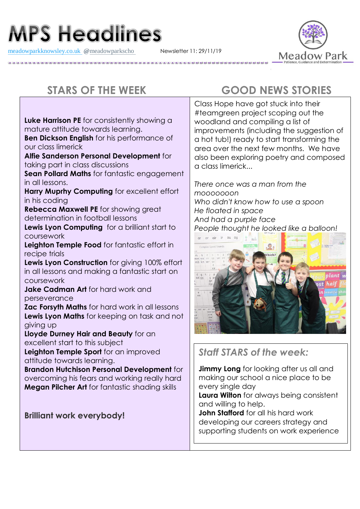# **MPS Headlines**

[meadowparkknowsley.co.uk](https://t.co/znDDto23ds) **@**[meadowparkscho](https://twitter.com/meadowparkscho) Newsletter 11: 29/11/19



**Luke Harrison PE** for consistently showing a mature attitude towards learning.

**Ben Dickson English** for his performance of our class limerick

**Alfie Sanderson Personal Development** for taking part in class discussions

**Sean Pollard Maths** for fantastic engagement in all lessons.

**Harry Muprhy Computing** for excellent effort in his coding

**Rebecca Maxwell PE** for showing great determination in football lessons

**Lewis Lyon Computing** for a brilliant start to coursework

**Leighton Temple Food** for fantastic effort in recipe trials

**Lewis Lyon Construction** for giving 100% effort in all lessons and making a fantastic start on coursework

**Jake Cadman Art** for hard work and perseverance

**Zac Forsyth Maths** for hard work in all lessons **Lewis Lyon Maths** for keeping on task and not giving up

**Lloyde Durney Hair and Beauty** for an excellent start to this subject

**Leighton Temple Sport** for an improved attitude towards learning.

**Brandon Hutchison Personal Development** for overcoming his fears and working really hard **Megan Pilcher Art** for fantastic shading skills

**Brilliant work everybody!**

# **STARS OF THE WEEK GOOD NEWS STORIES**

Class Hope have got stuck into their #teamgreen project scoping out the woodland and compiling a list of improvements (including the suggestion of a hot tub!) ready to start transforming the area over the next few months. We have also been exploring poetry and composed a class limerick...

*There once was a man from the mooooooon Who didn't know how to use a spoon He floated in space And had a purple face People thought he looked like a balloon!*



*Staff STARS of the week:*

**Jimmy Long** for looking after us all and making our school a nice place to be every single day

**Laura Wilton** for always being consistent and willing to help.

**John Stafford** for all his hard work developing our careers strategy and supporting students on work experience